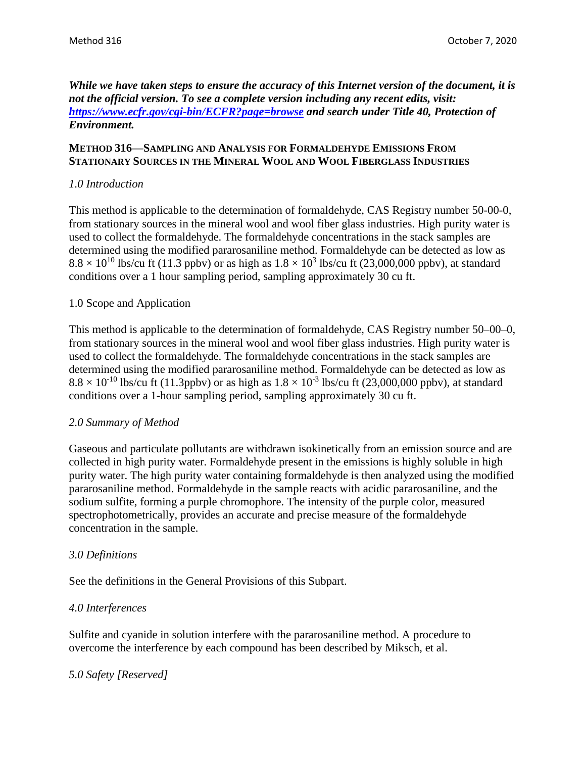### *While we have taken steps to ensure the accuracy of this Internet version of the document, it is not the official version. To see a complete version including any recent edits, visit: <https://www.ecfr.gov/cgi-bin/ECFR?page=browse> and search under Title 40, Protection of Environment.*

### **METHOD 316—SAMPLING AND ANALYSIS FOR FORMALDEHYDE EMISSIONS FROM STATIONARY SOURCES IN THE MINERAL WOOL AND WOOL FIBERGLASS INDUSTRIES**

# *1.0 Introduction*

This method is applicable to the determination of formaldehyde, CAS Registry number 50-00-0, from stationary sources in the mineral wool and wool fiber glass industries. High purity water is used to collect the formaldehyde. The formaldehyde concentrations in the stack samples are determined using the modified pararosaniline method. Formaldehyde can be detected as low as  $8.8 \times 10^{10}$  lbs/cu ft (11.3 ppbv) or as high as  $1.8 \times 10^3$  lbs/cu ft (23,000,000 ppbv), at standard conditions over a 1 hour sampling period, sampling approximately 30 cu ft.

### 1.0 Scope and Application

This method is applicable to the determination of formaldehyde, CAS Registry number 50–00–0, from stationary sources in the mineral wool and wool fiber glass industries. High purity water is used to collect the formaldehyde. The formaldehyde concentrations in the stack samples are determined using the modified pararosaniline method. Formaldehyde can be detected as low as  $8.8 \times 10^{-10}$  lbs/cu ft (11.3ppbv) or as high as  $1.8 \times 10^{-3}$  lbs/cu ft (23,000,000 ppbv), at standard conditions over a 1-hour sampling period, sampling approximately 30 cu ft.

### *2.0 Summary of Method*

Gaseous and particulate pollutants are withdrawn isokinetically from an emission source and are collected in high purity water. Formaldehyde present in the emissions is highly soluble in high purity water. The high purity water containing formaldehyde is then analyzed using the modified pararosaniline method. Formaldehyde in the sample reacts with acidic pararosaniline, and the sodium sulfite, forming a purple chromophore. The intensity of the purple color, measured spectrophotometrically, provides an accurate and precise measure of the formaldehyde concentration in the sample.

### *3.0 Definitions*

See the definitions in the General Provisions of this Subpart.

### *4.0 Interferences*

Sulfite and cyanide in solution interfere with the pararosaniline method. A procedure to overcome the interference by each compound has been described by Miksch, et al.

### *5.0 Safety [Reserved]*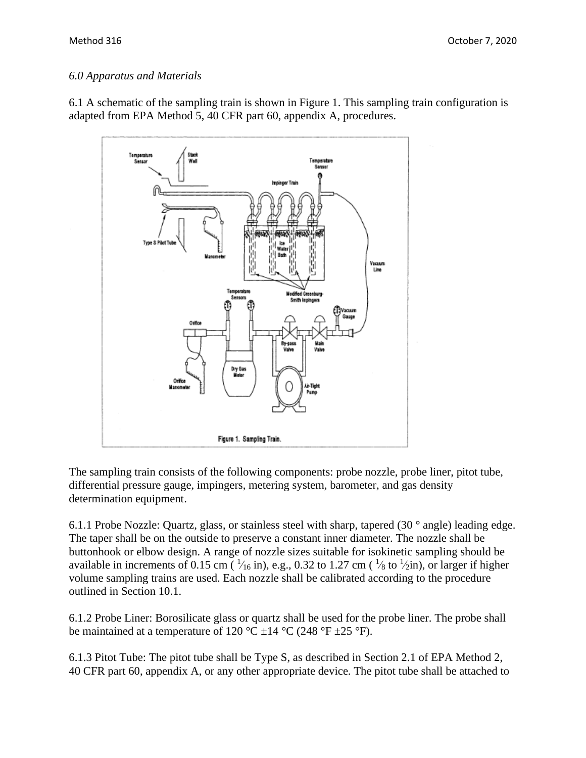# *6.0 Apparatus and Materials*

6.1 A schematic of the sampling train is shown in Figure 1. This sampling train configuration is adapted from EPA Method 5, 40 CFR part 60, appendix A, procedures.



The sampling train consists of the following components: probe nozzle, probe liner, pitot tube, differential pressure gauge, impingers, metering system, barometer, and gas density determination equipment.

6.1.1 Probe Nozzle: Quartz, glass, or stainless steel with sharp, tapered (30 ° angle) leading edge. The taper shall be on the outside to preserve a constant inner diameter. The nozzle shall be buttonhook or elbow design. A range of nozzle sizes suitable for isokinetic sampling should be available in increments of 0.15 cm ( $\frac{1}{16}$  in), e.g., 0.32 to 1.27 cm ( $\frac{1}{8}$  to  $\frac{1}{2}$ in), or larger if higher volume sampling trains are used. Each nozzle shall be calibrated according to the procedure outlined in Section 10.1.

6.1.2 Probe Liner: Borosilicate glass or quartz shall be used for the probe liner. The probe shall be maintained at a temperature of 120 °C  $\pm$ 14 °C (248 °F  $\pm$ 25 °F).

6.1.3 Pitot Tube: The pitot tube shall be Type S, as described in Section 2.1 of EPA Method 2, 40 CFR part 60, appendix A, or any other appropriate device. The pitot tube shall be attached to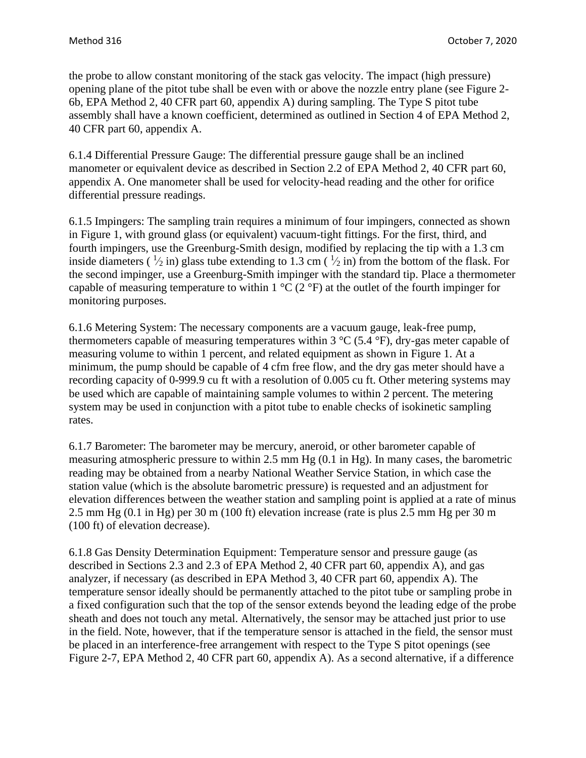the probe to allow constant monitoring of the stack gas velocity. The impact (high pressure) opening plane of the pitot tube shall be even with or above the nozzle entry plane (see Figure 2- 6b, EPA Method 2, 40 CFR part 60, appendix A) during sampling. The Type S pitot tube assembly shall have a known coefficient, determined as outlined in Section 4 of EPA Method 2, 40 CFR part 60, appendix A.

6.1.4 Differential Pressure Gauge: The differential pressure gauge shall be an inclined manometer or equivalent device as described in Section 2.2 of EPA Method 2, 40 CFR part 60, appendix A. One manometer shall be used for velocity-head reading and the other for orifice differential pressure readings.

6.1.5 Impingers: The sampling train requires a minimum of four impingers, connected as shown in Figure 1, with ground glass (or equivalent) vacuum-tight fittings. For the first, third, and fourth impingers, use the Greenburg-Smith design, modified by replacing the tip with a 1.3 cm inside diameters ( $\frac{1}{2}$  in) glass tube extending to 1.3 cm ( $\frac{1}{2}$  in) from the bottom of the flask. For the second impinger, use a Greenburg-Smith impinger with the standard tip. Place a thermometer capable of measuring temperature to within 1  $\rm{°C}$  (2  $\rm{°F}$ ) at the outlet of the fourth impinger for monitoring purposes.

6.1.6 Metering System: The necessary components are a vacuum gauge, leak-free pump, thermometers capable of measuring temperatures within 3  $\rm{^{\circ}C}$  (5.4  $\rm{^{\circ}F}$ ), dry-gas meter capable of measuring volume to within 1 percent, and related equipment as shown in Figure 1. At a minimum, the pump should be capable of 4 cfm free flow, and the dry gas meter should have a recording capacity of 0-999.9 cu ft with a resolution of 0.005 cu ft. Other metering systems may be used which are capable of maintaining sample volumes to within 2 percent. The metering system may be used in conjunction with a pitot tube to enable checks of isokinetic sampling rates.

6.1.7 Barometer: The barometer may be mercury, aneroid, or other barometer capable of measuring atmospheric pressure to within 2.5 mm Hg (0.1 in Hg). In many cases, the barometric reading may be obtained from a nearby National Weather Service Station, in which case the station value (which is the absolute barometric pressure) is requested and an adjustment for elevation differences between the weather station and sampling point is applied at a rate of minus 2.5 mm Hg (0.1 in Hg) per 30 m (100 ft) elevation increase (rate is plus 2.5 mm Hg per 30 m (100 ft) of elevation decrease).

6.1.8 Gas Density Determination Equipment: Temperature sensor and pressure gauge (as described in Sections 2.3 and 2.3 of EPA Method 2, 40 CFR part 60, appendix A), and gas analyzer, if necessary (as described in EPA Method 3, 40 CFR part 60, appendix A). The temperature sensor ideally should be permanently attached to the pitot tube or sampling probe in a fixed configuration such that the top of the sensor extends beyond the leading edge of the probe sheath and does not touch any metal. Alternatively, the sensor may be attached just prior to use in the field. Note, however, that if the temperature sensor is attached in the field, the sensor must be placed in an interference-free arrangement with respect to the Type S pitot openings (see Figure 2-7, EPA Method 2, 40 CFR part 60, appendix A). As a second alternative, if a difference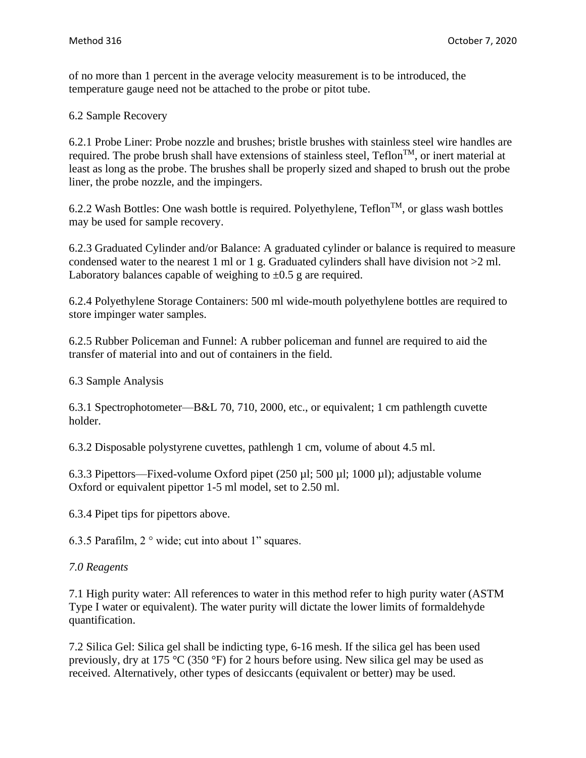of no more than 1 percent in the average velocity measurement is to be introduced, the temperature gauge need not be attached to the probe or pitot tube.

6.2 Sample Recovery

6.2.1 Probe Liner: Probe nozzle and brushes; bristle brushes with stainless steel wire handles are required. The probe brush shall have extensions of stainless steel,  $Teflon^{TM}$ , or inert material at least as long as the probe. The brushes shall be properly sized and shaped to brush out the probe liner, the probe nozzle, and the impingers.

6.2.2 Wash Bottles: One wash bottle is required. Polyethylene,  $Teflon^{TM}$ , or glass wash bottles may be used for sample recovery.

6.2.3 Graduated Cylinder and/or Balance: A graduated cylinder or balance is required to measure condensed water to the nearest 1 ml or 1 g. Graduated cylinders shall have division not  $>2$  ml. Laboratory balances capable of weighing to  $\pm 0.5$  g are required.

6.2.4 Polyethylene Storage Containers: 500 ml wide-mouth polyethylene bottles are required to store impinger water samples.

6.2.5 Rubber Policeman and Funnel: A rubber policeman and funnel are required to aid the transfer of material into and out of containers in the field.

6.3 Sample Analysis

6.3.1 Spectrophotometer—B&L 70, 710, 2000, etc., or equivalent; 1 cm pathlength cuvette holder.

6.3.2 Disposable polystyrene cuvettes, pathlengh 1 cm, volume of about 4.5 ml.

6.3.3 Pipettors—Fixed-volume Oxford pipet (250 µl; 500 µl; 1000 µl); adjustable volume Oxford or equivalent pipettor 1-5 ml model, set to 2.50 ml.

6.3.4 Pipet tips for pipettors above.

6.3.5 Parafilm, 2 ° wide; cut into about 1" squares.

### *7.0 Reagents*

7.1 High purity water: All references to water in this method refer to high purity water (ASTM Type I water or equivalent). The water purity will dictate the lower limits of formaldehyde quantification.

7.2 Silica Gel: Silica gel shall be indicting type, 6-16 mesh. If the silica gel has been used previously, dry at 175 °C (350 °F) for 2 hours before using. New silica gel may be used as received. Alternatively, other types of desiccants (equivalent or better) may be used.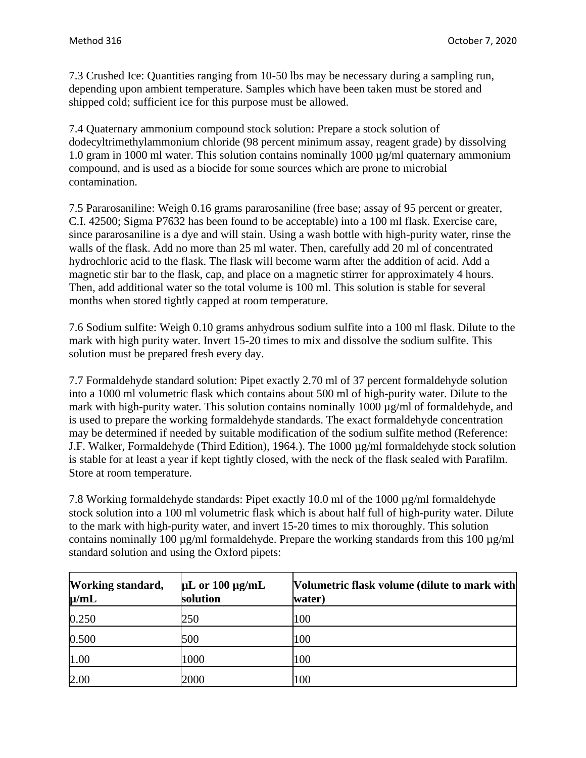7.3 Crushed Ice: Quantities ranging from 10-50 lbs may be necessary during a sampling run, depending upon ambient temperature. Samples which have been taken must be stored and shipped cold; sufficient ice for this purpose must be allowed.

7.4 Quaternary ammonium compound stock solution: Prepare a stock solution of dodecyltrimethylammonium chloride (98 percent minimum assay, reagent grade) by dissolving 1.0 gram in 1000 ml water. This solution contains nominally 1000 µg/ml quaternary ammonium compound, and is used as a biocide for some sources which are prone to microbial contamination.

7.5 Pararosaniline: Weigh 0.16 grams pararosaniline (free base; assay of 95 percent or greater, C.I. 42500; Sigma P7632 has been found to be acceptable) into a 100 ml flask. Exercise care, since pararosaniline is a dye and will stain. Using a wash bottle with high-purity water, rinse the walls of the flask. Add no more than 25 ml water. Then, carefully add 20 ml of concentrated hydrochloric acid to the flask. The flask will become warm after the addition of acid. Add a magnetic stir bar to the flask, cap, and place on a magnetic stirrer for approximately 4 hours. Then, add additional water so the total volume is 100 ml. This solution is stable for several months when stored tightly capped at room temperature.

7.6 Sodium sulfite: Weigh 0.10 grams anhydrous sodium sulfite into a 100 ml flask. Dilute to the mark with high purity water. Invert 15-20 times to mix and dissolve the sodium sulfite. This solution must be prepared fresh every day.

7.7 Formaldehyde standard solution: Pipet exactly 2.70 ml of 37 percent formaldehyde solution into a 1000 ml volumetric flask which contains about 500 ml of high-purity water. Dilute to the mark with high-purity water. This solution contains nominally 1000  $\mu$ g/ml of formaldehyde, and is used to prepare the working formaldehyde standards. The exact formaldehyde concentration may be determined if needed by suitable modification of the sodium sulfite method (Reference: J.F. Walker, Formaldehyde (Third Edition), 1964.). The 1000 µg/ml formaldehyde stock solution is stable for at least a year if kept tightly closed, with the neck of the flask sealed with Parafilm. Store at room temperature.

7.8 Working formaldehyde standards: Pipet exactly 10.0 ml of the 1000 µg/ml formaldehyde stock solution into a 100 ml volumetric flask which is about half full of high-purity water. Dilute to the mark with high-purity water, and invert 15-20 times to mix thoroughly. This solution contains nominally 100  $\mu$ g/ml formaldehyde. Prepare the working standards from this 100  $\mu$ g/ml standard solution and using the Oxford pipets:

| <b>Working standard,</b><br>$\mu$ /mL | $\mu$ L or 100 $\mu$ g/mL<br>solution | Volumetric flask volume (dilute to mark with<br>water) |
|---------------------------------------|---------------------------------------|--------------------------------------------------------|
| 0.250                                 | 250                                   | 100                                                    |
| 0.500                                 | 500                                   | 100                                                    |
| 1.00                                  | 1000                                  | 100                                                    |
| 2.00                                  | 2000                                  | 100                                                    |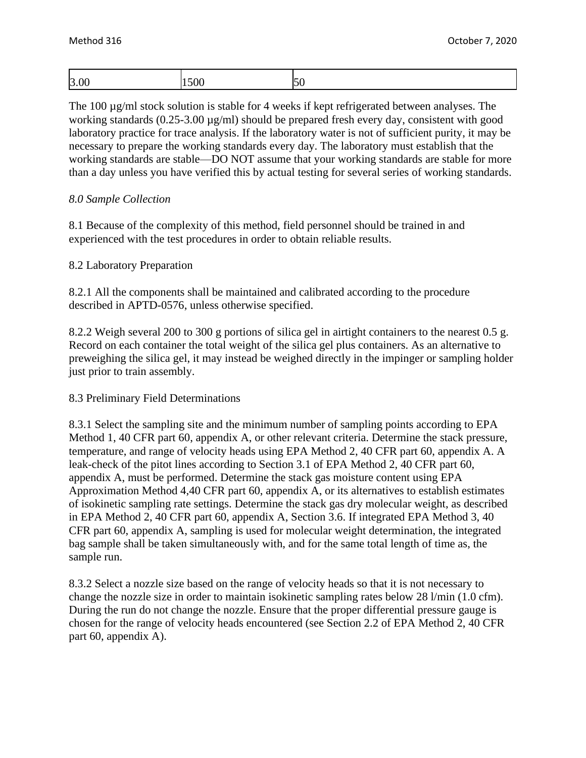| l3.UU<br>,,<br>◡<br>$\sim$ | $\sim$<br>$\alpha$ | :nr | $\sim$ $\sim$ |
|----------------------------|--------------------|-----|---------------|
|----------------------------|--------------------|-----|---------------|

The 100 µg/ml stock solution is stable for 4 weeks if kept refrigerated between analyses. The working standards (0.25-3.00  $\mu$ g/ml) should be prepared fresh every day, consistent with good laboratory practice for trace analysis. If the laboratory water is not of sufficient purity, it may be necessary to prepare the working standards every day. The laboratory must establish that the working standards are stable—DO NOT assume that your working standards are stable for more than a day unless you have verified this by actual testing for several series of working standards.

#### *8.0 Sample Collection*

8.1 Because of the complexity of this method, field personnel should be trained in and experienced with the test procedures in order to obtain reliable results.

#### 8.2 Laboratory Preparation

8.2.1 All the components shall be maintained and calibrated according to the procedure described in APTD-0576, unless otherwise specified.

8.2.2 Weigh several 200 to 300 g portions of silica gel in airtight containers to the nearest 0.5 g. Record on each container the total weight of the silica gel plus containers. As an alternative to preweighing the silica gel, it may instead be weighed directly in the impinger or sampling holder just prior to train assembly.

#### 8.3 Preliminary Field Determinations

8.3.1 Select the sampling site and the minimum number of sampling points according to EPA Method 1, 40 CFR part 60, appendix A, or other relevant criteria. Determine the stack pressure, temperature, and range of velocity heads using EPA Method 2, 40 CFR part 60, appendix A. A leak-check of the pitot lines according to Section 3.1 of EPA Method 2, 40 CFR part 60, appendix A, must be performed. Determine the stack gas moisture content using EPA Approximation Method 4,40 CFR part 60, appendix A, or its alternatives to establish estimates of isokinetic sampling rate settings. Determine the stack gas dry molecular weight, as described in EPA Method 2, 40 CFR part 60, appendix A, Section 3.6. If integrated EPA Method 3, 40 CFR part 60, appendix A, sampling is used for molecular weight determination, the integrated bag sample shall be taken simultaneously with, and for the same total length of time as, the sample run.

8.3.2 Select a nozzle size based on the range of velocity heads so that it is not necessary to change the nozzle size in order to maintain isokinetic sampling rates below 28 l/min (1.0 cfm). During the run do not change the nozzle. Ensure that the proper differential pressure gauge is chosen for the range of velocity heads encountered (see Section 2.2 of EPA Method 2, 40 CFR part 60, appendix A).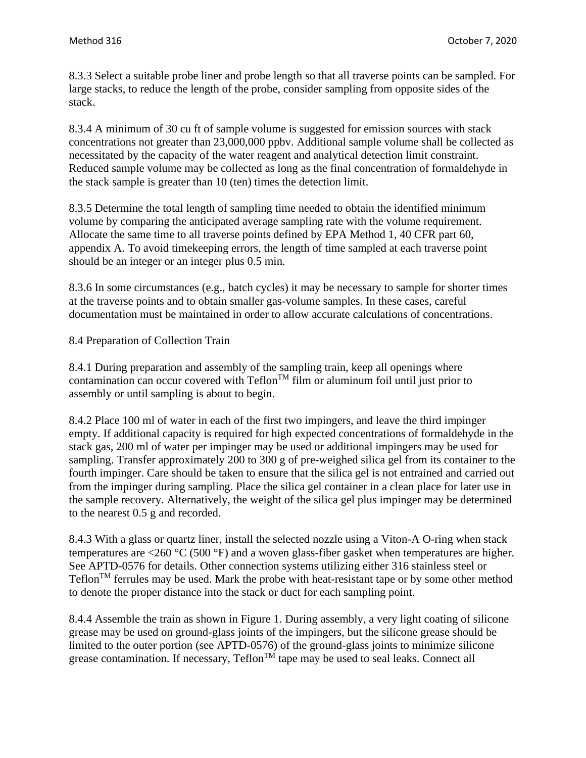8.3.3 Select a suitable probe liner and probe length so that all traverse points can be sampled. For large stacks, to reduce the length of the probe, consider sampling from opposite sides of the stack.

8.3.4 A minimum of 30 cu ft of sample volume is suggested for emission sources with stack concentrations not greater than 23,000,000 ppbv. Additional sample volume shall be collected as necessitated by the capacity of the water reagent and analytical detection limit constraint. Reduced sample volume may be collected as long as the final concentration of formaldehyde in the stack sample is greater than 10 (ten) times the detection limit.

8.3.5 Determine the total length of sampling time needed to obtain the identified minimum volume by comparing the anticipated average sampling rate with the volume requirement. Allocate the same time to all traverse points defined by EPA Method 1, 40 CFR part 60, appendix A. To avoid timekeeping errors, the length of time sampled at each traverse point should be an integer or an integer plus 0.5 min.

8.3.6 In some circumstances (e.g., batch cycles) it may be necessary to sample for shorter times at the traverse points and to obtain smaller gas-volume samples. In these cases, careful documentation must be maintained in order to allow accurate calculations of concentrations.

# 8.4 Preparation of Collection Train

8.4.1 During preparation and assembly of the sampling train, keep all openings where contamination can occur covered with  $Teflon^{TM}$  film or aluminum foil until just prior to assembly or until sampling is about to begin.

8.4.2 Place 100 ml of water in each of the first two impingers, and leave the third impinger empty. If additional capacity is required for high expected concentrations of formaldehyde in the stack gas, 200 ml of water per impinger may be used or additional impingers may be used for sampling. Transfer approximately 200 to 300 g of pre-weighed silica gel from its container to the fourth impinger. Care should be taken to ensure that the silica gel is not entrained and carried out from the impinger during sampling. Place the silica gel container in a clean place for later use in the sample recovery. Alternatively, the weight of the silica gel plus impinger may be determined to the nearest 0.5 g and recorded.

8.4.3 With a glass or quartz liner, install the selected nozzle using a Viton-A O-ring when stack temperatures are <260 °C (500 °F) and a woven glass-fiber gasket when temperatures are higher. See APTD-0576 for details. Other connection systems utilizing either 316 stainless steel or  $Teflon<sup>TM</sup>$  ferrules may be used. Mark the probe with heat-resistant tape or by some other method to denote the proper distance into the stack or duct for each sampling point.

8.4.4 Assemble the train as shown in Figure 1. During assembly, a very light coating of silicone grease may be used on ground-glass joints of the impingers, but the silicone grease should be limited to the outer portion (see APTD-0576) of the ground-glass joints to minimize silicone grease contamination. If necessary,  $Teflon^{TM}$  tape may be used to seal leaks. Connect all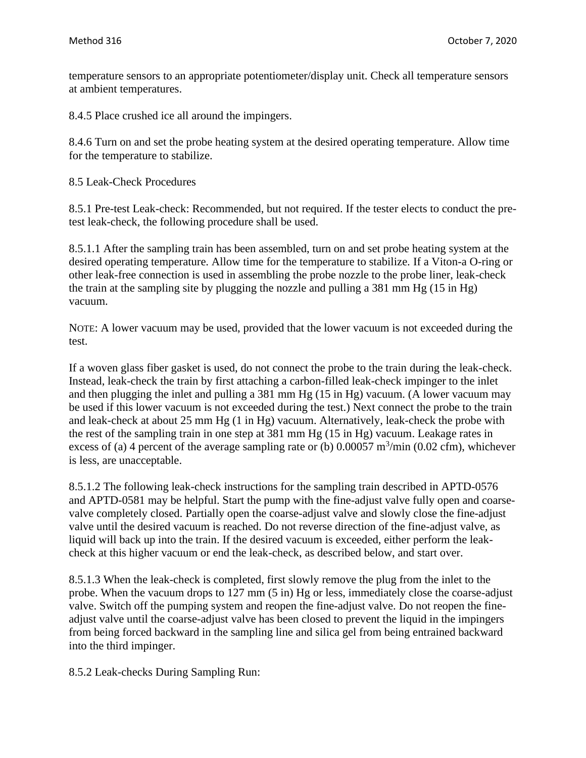temperature sensors to an appropriate potentiometer/display unit. Check all temperature sensors at ambient temperatures.

8.4.5 Place crushed ice all around the impingers.

8.4.6 Turn on and set the probe heating system at the desired operating temperature. Allow time for the temperature to stabilize.

8.5 Leak-Check Procedures

8.5.1 Pre-test Leak-check: Recommended, but not required. If the tester elects to conduct the pretest leak-check, the following procedure shall be used.

8.5.1.1 After the sampling train has been assembled, turn on and set probe heating system at the desired operating temperature. Allow time for the temperature to stabilize. If a Viton-a O-ring or other leak-free connection is used in assembling the probe nozzle to the probe liner, leak-check the train at the sampling site by plugging the nozzle and pulling a 381 mm Hg (15 in Hg) vacuum.

NOTE: A lower vacuum may be used, provided that the lower vacuum is not exceeded during the test.

If a woven glass fiber gasket is used, do not connect the probe to the train during the leak-check. Instead, leak-check the train by first attaching a carbon-filled leak-check impinger to the inlet and then plugging the inlet and pulling a 381 mm Hg (15 in Hg) vacuum. (A lower vacuum may be used if this lower vacuum is not exceeded during the test.) Next connect the probe to the train and leak-check at about 25 mm Hg (1 in Hg) vacuum. Alternatively, leak-check the probe with the rest of the sampling train in one step at 381 mm Hg (15 in Hg) vacuum. Leakage rates in excess of (a) 4 percent of the average sampling rate or (b)  $0.00057 \text{ m}^3/\text{min}$  (0.02 cfm), whichever is less, are unacceptable.

8.5.1.2 The following leak-check instructions for the sampling train described in APTD-0576 and APTD-0581 may be helpful. Start the pump with the fine-adjust valve fully open and coarsevalve completely closed. Partially open the coarse-adjust valve and slowly close the fine-adjust valve until the desired vacuum is reached. Do not reverse direction of the fine-adjust valve, as liquid will back up into the train. If the desired vacuum is exceeded, either perform the leakcheck at this higher vacuum or end the leak-check, as described below, and start over.

8.5.1.3 When the leak-check is completed, first slowly remove the plug from the inlet to the probe. When the vacuum drops to 127 mm (5 in) Hg or less, immediately close the coarse-adjust valve. Switch off the pumping system and reopen the fine-adjust valve. Do not reopen the fineadjust valve until the coarse-adjust valve has been closed to prevent the liquid in the impingers from being forced backward in the sampling line and silica gel from being entrained backward into the third impinger.

8.5.2 Leak-checks During Sampling Run: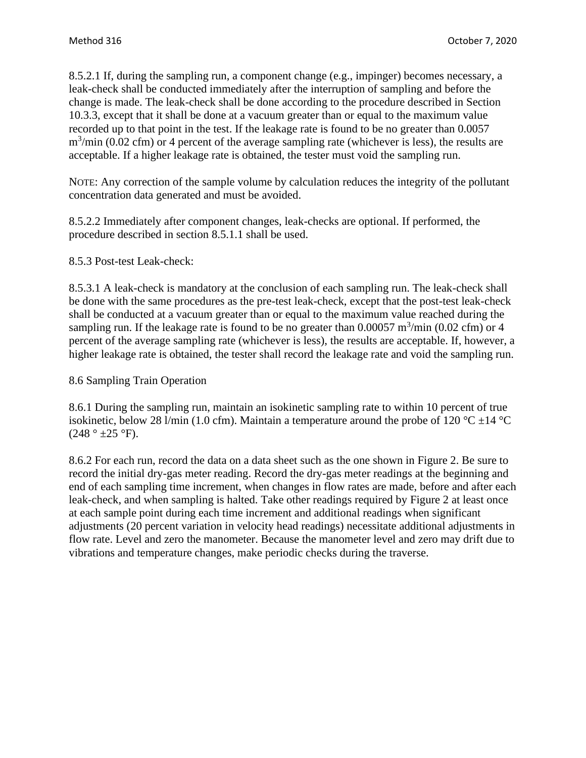8.5.2.1 If, during the sampling run, a component change (e.g., impinger) becomes necessary, a leak-check shall be conducted immediately after the interruption of sampling and before the change is made. The leak-check shall be done according to the procedure described in Section 10.3.3, except that it shall be done at a vacuum greater than or equal to the maximum value recorded up to that point in the test. If the leakage rate is found to be no greater than 0.0057  $\text{m}^3/\text{min}$  (0.02 cfm) or 4 percent of the average sampling rate (whichever is less), the results are acceptable. If a higher leakage rate is obtained, the tester must void the sampling run.

NOTE: Any correction of the sample volume by calculation reduces the integrity of the pollutant concentration data generated and must be avoided.

8.5.2.2 Immediately after component changes, leak-checks are optional. If performed, the procedure described in section 8.5.1.1 shall be used.

8.5.3 Post-test Leak-check:

8.5.3.1 A leak-check is mandatory at the conclusion of each sampling run. The leak-check shall be done with the same procedures as the pre-test leak-check, except that the post-test leak-check shall be conducted at a vacuum greater than or equal to the maximum value reached during the sampling run. If the leakage rate is found to be no greater than  $0.00057 \text{ m}^3/\text{min}$  (0.02 cfm) or 4 percent of the average sampling rate (whichever is less), the results are acceptable. If, however, a higher leakage rate is obtained, the tester shall record the leakage rate and void the sampling run.

### 8.6 Sampling Train Operation

8.6.1 During the sampling run, maintain an isokinetic sampling rate to within 10 percent of true isokinetic, below 28 l/min (1.0 cfm). Maintain a temperature around the probe of 120 °C  $\pm$ 14 °C  $(248° + 25°)$ F).

8.6.2 For each run, record the data on a data sheet such as the one shown in Figure 2. Be sure to record the initial dry-gas meter reading. Record the dry-gas meter readings at the beginning and end of each sampling time increment, when changes in flow rates are made, before and after each leak-check, and when sampling is halted. Take other readings required by Figure 2 at least once at each sample point during each time increment and additional readings when significant adjustments (20 percent variation in velocity head readings) necessitate additional adjustments in flow rate. Level and zero the manometer. Because the manometer level and zero may drift due to vibrations and temperature changes, make periodic checks during the traverse.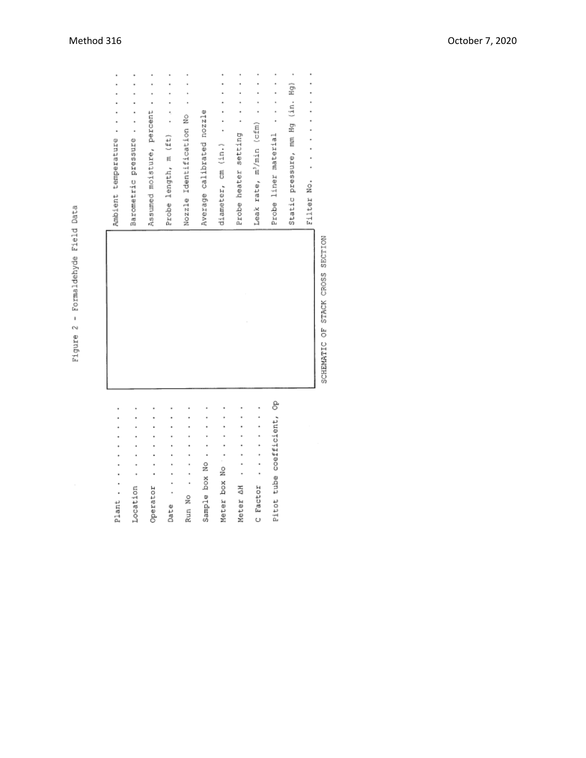Figure 2 - Formaldehyde Field Data

| Plant                      | Ambient temperature                  |
|----------------------------|--------------------------------------|
| Location                   | Barometric pressure                  |
| Operator                   | Assumed moisture, percent            |
| Date                       | Probe length, m (ft)                 |
| Run No                     | Nozzle Identification No             |
| Sample box No.             | Average calibrated nozzle            |
| Meter box No               | diameter, cm (in.)                   |
| Meter AH                   | Probe heater setting                 |
| C Factor                   | Leak rate, m <sup>3</sup> /min (cfm) |
| Pitot tube coefficient, Op | Probe liner material                 |
|                            | ł<br>Static pressure, mm Hg (in. Hg) |
|                            | Filter No.                           |

SCHEMATIC OF STACK CROSS SECTION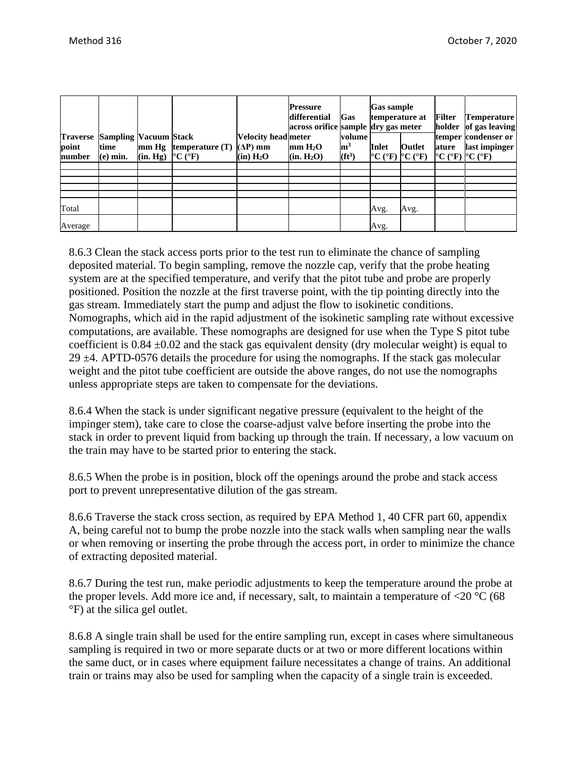| point<br>number | <b>Traverse Sampling Vacuum Stack</b><br>time<br>$(e)$ min. | (in. Hg) °C (°F) | $mm Hg$ temperature $(T)$ | Velocity head meter<br>$(\Delta P)$ mm<br>(in) H <sub>2</sub> O | <b>Pressure</b><br>differential<br>across orifice sample dry gas meter<br>mm H <sub>2</sub> O<br>(in. H <sub>2</sub> O) | Gas<br>volume<br>$\mathbf{m}^3$<br>$(ft^3)$ | <b>Gas sample</b><br>temperature at<br><b>Inlet</b><br>$\rm{C}$ (°F) $\rm{C}$ (°F) | Outlet | <b>Filter</b><br>holder<br>ature<br>$\rm{^{\circ}C}$ ( $\rm{^{\circ}F}$ ) $\rm{^{\circ}C}$ ( $\rm{^{\circ}F}$ ) | Temperature <br>of gas leaving<br>temper condenser or<br>last impinger |
|-----------------|-------------------------------------------------------------|------------------|---------------------------|-----------------------------------------------------------------|-------------------------------------------------------------------------------------------------------------------------|---------------------------------------------|------------------------------------------------------------------------------------|--------|-----------------------------------------------------------------------------------------------------------------|------------------------------------------------------------------------|
|                 |                                                             |                  |                           |                                                                 |                                                                                                                         |                                             |                                                                                    |        |                                                                                                                 |                                                                        |
|                 |                                                             |                  |                           |                                                                 |                                                                                                                         |                                             |                                                                                    |        |                                                                                                                 |                                                                        |
|                 |                                                             |                  |                           |                                                                 |                                                                                                                         |                                             |                                                                                    |        |                                                                                                                 |                                                                        |
| Total           |                                                             |                  |                           |                                                                 |                                                                                                                         |                                             | Avg.                                                                               | Avg.   |                                                                                                                 |                                                                        |
| Average         |                                                             |                  |                           |                                                                 |                                                                                                                         |                                             | Avg.                                                                               |        |                                                                                                                 |                                                                        |

8.6.3 Clean the stack access ports prior to the test run to eliminate the chance of sampling deposited material. To begin sampling, remove the nozzle cap, verify that the probe heating system are at the specified temperature, and verify that the pitot tube and probe are properly positioned. Position the nozzle at the first traverse point, with the tip pointing directly into the gas stream. Immediately start the pump and adjust the flow to isokinetic conditions. Nomographs, which aid in the rapid adjustment of the isokinetic sampling rate without excessive computations, are available. These nomographs are designed for use when the Type S pitot tube coefficient is  $0.84 \pm 0.02$  and the stack gas equivalent density (dry molecular weight) is equal to 29  $\pm$ 4. APTD-0576 details the procedure for using the nomographs. If the stack gas molecular weight and the pitot tube coefficient are outside the above ranges, do not use the nomographs unless appropriate steps are taken to compensate for the deviations.

8.6.4 When the stack is under significant negative pressure (equivalent to the height of the impinger stem), take care to close the coarse-adjust valve before inserting the probe into the stack in order to prevent liquid from backing up through the train. If necessary, a low vacuum on the train may have to be started prior to entering the stack.

8.6.5 When the probe is in position, block off the openings around the probe and stack access port to prevent unrepresentative dilution of the gas stream.

8.6.6 Traverse the stack cross section, as required by EPA Method 1, 40 CFR part 60, appendix A, being careful not to bump the probe nozzle into the stack walls when sampling near the walls or when removing or inserting the probe through the access port, in order to minimize the chance of extracting deposited material.

8.6.7 During the test run, make periodic adjustments to keep the temperature around the probe at the proper levels. Add more ice and, if necessary, salt, to maintain a temperature of  $\langle 20 \degree \text{C} (68 \degree \text{C}) \rangle$ °F) at the silica gel outlet.

8.6.8 A single train shall be used for the entire sampling run, except in cases where simultaneous sampling is required in two or more separate ducts or at two or more different locations within the same duct, or in cases where equipment failure necessitates a change of trains. An additional train or trains may also be used for sampling when the capacity of a single train is exceeded.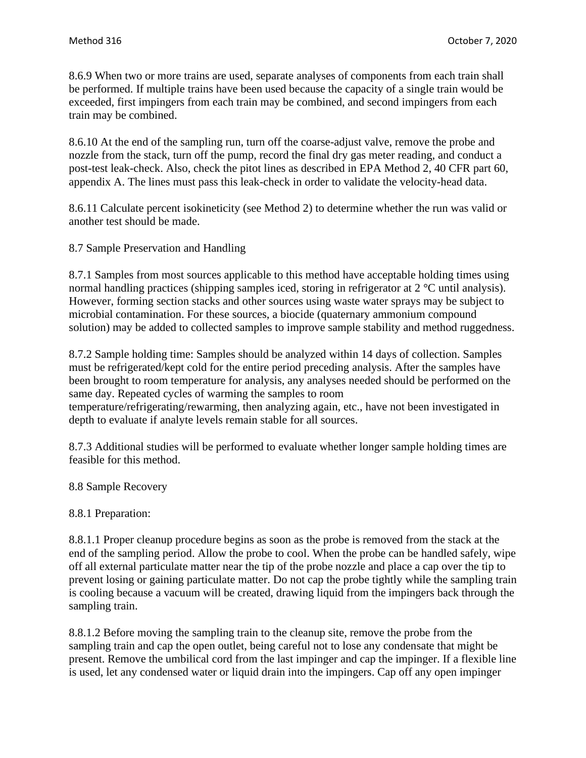8.6.9 When two or more trains are used, separate analyses of components from each train shall be performed. If multiple trains have been used because the capacity of a single train would be exceeded, first impingers from each train may be combined, and second impingers from each train may be combined.

8.6.10 At the end of the sampling run, turn off the coarse-adjust valve, remove the probe and nozzle from the stack, turn off the pump, record the final dry gas meter reading, and conduct a post-test leak-check. Also, check the pitot lines as described in EPA Method 2, 40 CFR part 60, appendix A. The lines must pass this leak-check in order to validate the velocity-head data.

8.6.11 Calculate percent isokineticity (see Method 2) to determine whether the run was valid or another test should be made.

8.7 Sample Preservation and Handling

8.7.1 Samples from most sources applicable to this method have acceptable holding times using normal handling practices (shipping samples iced, storing in refrigerator at 2 °C until analysis). However, forming section stacks and other sources using waste water sprays may be subject to microbial contamination. For these sources, a biocide (quaternary ammonium compound solution) may be added to collected samples to improve sample stability and method ruggedness.

8.7.2 Sample holding time: Samples should be analyzed within 14 days of collection. Samples must be refrigerated/kept cold for the entire period preceding analysis. After the samples have been brought to room temperature for analysis, any analyses needed should be performed on the same day. Repeated cycles of warming the samples to room temperature/refrigerating/rewarming, then analyzing again, etc., have not been investigated in depth to evaluate if analyte levels remain stable for all sources.

8.7.3 Additional studies will be performed to evaluate whether longer sample holding times are feasible for this method.

8.8 Sample Recovery

8.8.1 Preparation:

8.8.1.1 Proper cleanup procedure begins as soon as the probe is removed from the stack at the end of the sampling period. Allow the probe to cool. When the probe can be handled safely, wipe off all external particulate matter near the tip of the probe nozzle and place a cap over the tip to prevent losing or gaining particulate matter. Do not cap the probe tightly while the sampling train is cooling because a vacuum will be created, drawing liquid from the impingers back through the sampling train.

8.8.1.2 Before moving the sampling train to the cleanup site, remove the probe from the sampling train and cap the open outlet, being careful not to lose any condensate that might be present. Remove the umbilical cord from the last impinger and cap the impinger. If a flexible line is used, let any condensed water or liquid drain into the impingers. Cap off any open impinger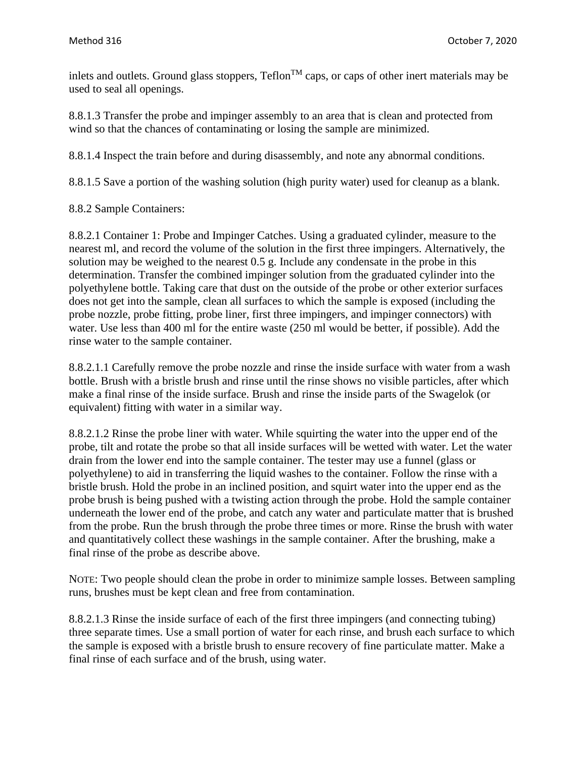inlets and outlets. Ground glass stoppers,  $Teflon^{TM}$  caps, or caps of other inert materials may be used to seal all openings.

8.8.1.3 Transfer the probe and impinger assembly to an area that is clean and protected from wind so that the chances of contaminating or losing the sample are minimized.

8.8.1.4 Inspect the train before and during disassembly, and note any abnormal conditions.

8.8.1.5 Save a portion of the washing solution (high purity water) used for cleanup as a blank.

8.8.2 Sample Containers:

8.8.2.1 Container 1: Probe and Impinger Catches. Using a graduated cylinder, measure to the nearest ml, and record the volume of the solution in the first three impingers. Alternatively, the solution may be weighed to the nearest 0.5 g. Include any condensate in the probe in this determination. Transfer the combined impinger solution from the graduated cylinder into the polyethylene bottle. Taking care that dust on the outside of the probe or other exterior surfaces does not get into the sample, clean all surfaces to which the sample is exposed (including the probe nozzle, probe fitting, probe liner, first three impingers, and impinger connectors) with water. Use less than 400 ml for the entire waste (250 ml would be better, if possible). Add the rinse water to the sample container.

8.8.2.1.1 Carefully remove the probe nozzle and rinse the inside surface with water from a wash bottle. Brush with a bristle brush and rinse until the rinse shows no visible particles, after which make a final rinse of the inside surface. Brush and rinse the inside parts of the Swagelok (or equivalent) fitting with water in a similar way.

8.8.2.1.2 Rinse the probe liner with water. While squirting the water into the upper end of the probe, tilt and rotate the probe so that all inside surfaces will be wetted with water. Let the water drain from the lower end into the sample container. The tester may use a funnel (glass or polyethylene) to aid in transferring the liquid washes to the container. Follow the rinse with a bristle brush. Hold the probe in an inclined position, and squirt water into the upper end as the probe brush is being pushed with a twisting action through the probe. Hold the sample container underneath the lower end of the probe, and catch any water and particulate matter that is brushed from the probe. Run the brush through the probe three times or more. Rinse the brush with water and quantitatively collect these washings in the sample container. After the brushing, make a final rinse of the probe as describe above.

NOTE: Two people should clean the probe in order to minimize sample losses. Between sampling runs, brushes must be kept clean and free from contamination.

8.8.2.1.3 Rinse the inside surface of each of the first three impingers (and connecting tubing) three separate times. Use a small portion of water for each rinse, and brush each surface to which the sample is exposed with a bristle brush to ensure recovery of fine particulate matter. Make a final rinse of each surface and of the brush, using water.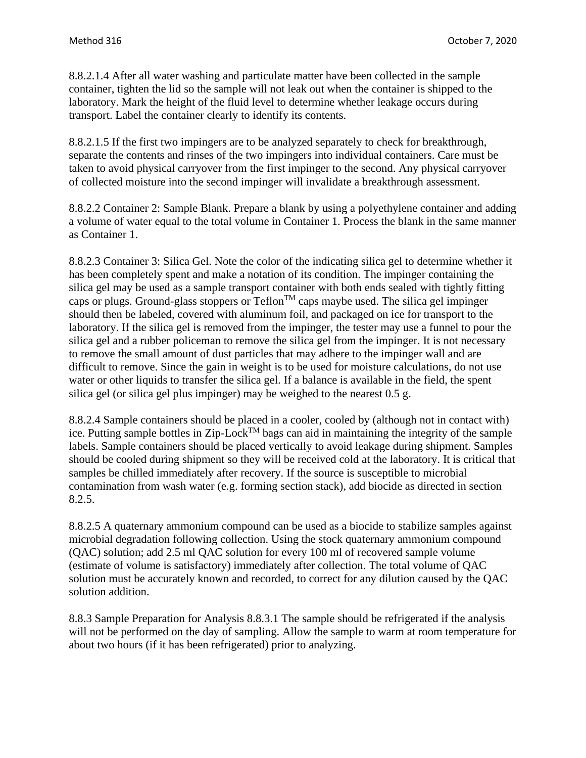8.8.2.1.4 After all water washing and particulate matter have been collected in the sample container, tighten the lid so the sample will not leak out when the container is shipped to the laboratory. Mark the height of the fluid level to determine whether leakage occurs during transport. Label the container clearly to identify its contents.

8.8.2.1.5 If the first two impingers are to be analyzed separately to check for breakthrough, separate the contents and rinses of the two impingers into individual containers. Care must be taken to avoid physical carryover from the first impinger to the second. Any physical carryover of collected moisture into the second impinger will invalidate a breakthrough assessment.

8.8.2.2 Container 2: Sample Blank. Prepare a blank by using a polyethylene container and adding a volume of water equal to the total volume in Container 1. Process the blank in the same manner as Container 1.

8.8.2.3 Container 3: Silica Gel. Note the color of the indicating silica gel to determine whether it has been completely spent and make a notation of its condition. The impinger containing the silica gel may be used as a sample transport container with both ends sealed with tightly fitting caps or plugs. Ground-glass stoppers or  $Teflon^{TM}$  caps maybe used. The silica gel impinger should then be labeled, covered with aluminum foil, and packaged on ice for transport to the laboratory. If the silica gel is removed from the impinger, the tester may use a funnel to pour the silica gel and a rubber policeman to remove the silica gel from the impinger. It is not necessary to remove the small amount of dust particles that may adhere to the impinger wall and are difficult to remove. Since the gain in weight is to be used for moisture calculations, do not use water or other liquids to transfer the silica gel. If a balance is available in the field, the spent silica gel (or silica gel plus impinger) may be weighed to the nearest 0.5 g.

8.8.2.4 Sample containers should be placed in a cooler, cooled by (although not in contact with) ice. Putting sample bottles in Zip-Lock<sup>TM</sup> bags can aid in maintaining the integrity of the sample labels. Sample containers should be placed vertically to avoid leakage during shipment. Samples should be cooled during shipment so they will be received cold at the laboratory. It is critical that samples be chilled immediately after recovery. If the source is susceptible to microbial contamination from wash water (e.g. forming section stack), add biocide as directed in section 8.2.5.

8.8.2.5 A quaternary ammonium compound can be used as a biocide to stabilize samples against microbial degradation following collection. Using the stock quaternary ammonium compound (QAC) solution; add 2.5 ml QAC solution for every 100 ml of recovered sample volume (estimate of volume is satisfactory) immediately after collection. The total volume of QAC solution must be accurately known and recorded, to correct for any dilution caused by the QAC solution addition.

8.8.3 Sample Preparation for Analysis 8.8.3.1 The sample should be refrigerated if the analysis will not be performed on the day of sampling. Allow the sample to warm at room temperature for about two hours (if it has been refrigerated) prior to analyzing.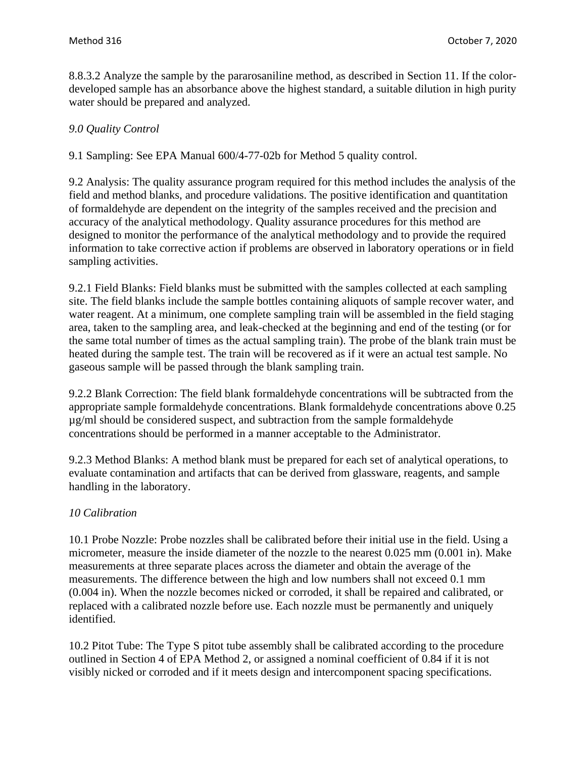8.8.3.2 Analyze the sample by the pararosaniline method, as described in Section 11. If the colordeveloped sample has an absorbance above the highest standard, a suitable dilution in high purity water should be prepared and analyzed.

# *9.0 Quality Control*

9.1 Sampling: See EPA Manual 600/4-77-02b for Method 5 quality control.

9.2 Analysis: The quality assurance program required for this method includes the analysis of the field and method blanks, and procedure validations. The positive identification and quantitation of formaldehyde are dependent on the integrity of the samples received and the precision and accuracy of the analytical methodology. Quality assurance procedures for this method are designed to monitor the performance of the analytical methodology and to provide the required information to take corrective action if problems are observed in laboratory operations or in field sampling activities.

9.2.1 Field Blanks: Field blanks must be submitted with the samples collected at each sampling site. The field blanks include the sample bottles containing aliquots of sample recover water, and water reagent. At a minimum, one complete sampling train will be assembled in the field staging area, taken to the sampling area, and leak-checked at the beginning and end of the testing (or for the same total number of times as the actual sampling train). The probe of the blank train must be heated during the sample test. The train will be recovered as if it were an actual test sample. No gaseous sample will be passed through the blank sampling train.

9.2.2 Blank Correction: The field blank formaldehyde concentrations will be subtracted from the appropriate sample formaldehyde concentrations. Blank formaldehyde concentrations above 0.25 µg/ml should be considered suspect, and subtraction from the sample formaldehyde concentrations should be performed in a manner acceptable to the Administrator.

9.2.3 Method Blanks: A method blank must be prepared for each set of analytical operations, to evaluate contamination and artifacts that can be derived from glassware, reagents, and sample handling in the laboratory.

# *10 Calibration*

10.1 Probe Nozzle: Probe nozzles shall be calibrated before their initial use in the field. Using a micrometer, measure the inside diameter of the nozzle to the nearest 0.025 mm (0.001 in). Make measurements at three separate places across the diameter and obtain the average of the measurements. The difference between the high and low numbers shall not exceed 0.1 mm (0.004 in). When the nozzle becomes nicked or corroded, it shall be repaired and calibrated, or replaced with a calibrated nozzle before use. Each nozzle must be permanently and uniquely identified.

10.2 Pitot Tube: The Type S pitot tube assembly shall be calibrated according to the procedure outlined in Section 4 of EPA Method 2, or assigned a nominal coefficient of 0.84 if it is not visibly nicked or corroded and if it meets design and intercomponent spacing specifications.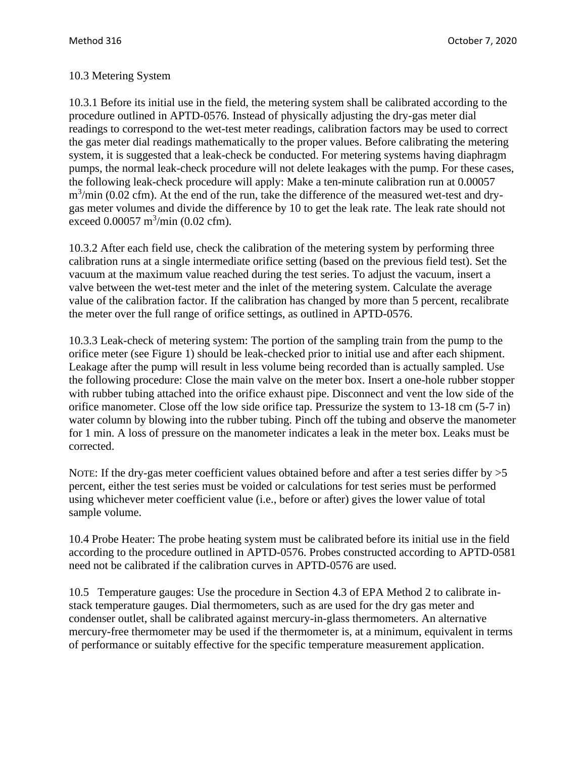# 10.3 Metering System

10.3.1 Before its initial use in the field, the metering system shall be calibrated according to the procedure outlined in APTD-0576. Instead of physically adjusting the dry-gas meter dial readings to correspond to the wet-test meter readings, calibration factors may be used to correct the gas meter dial readings mathematically to the proper values. Before calibrating the metering system, it is suggested that a leak-check be conducted. For metering systems having diaphragm pumps, the normal leak-check procedure will not delete leakages with the pump. For these cases, the following leak-check procedure will apply: Make a ten-minute calibration run at 0.00057  $m<sup>3</sup>/min$  (0.02 cfm). At the end of the run, take the difference of the measured wet-test and drygas meter volumes and divide the difference by 10 to get the leak rate. The leak rate should not exceed  $0.00057 \text{ m}^3/\text{min}$  (0.02 cfm).

10.3.2 After each field use, check the calibration of the metering system by performing three calibration runs at a single intermediate orifice setting (based on the previous field test). Set the vacuum at the maximum value reached during the test series. To adjust the vacuum, insert a valve between the wet-test meter and the inlet of the metering system. Calculate the average value of the calibration factor. If the calibration has changed by more than 5 percent, recalibrate the meter over the full range of orifice settings, as outlined in APTD-0576.

10.3.3 Leak-check of metering system: The portion of the sampling train from the pump to the orifice meter (see Figure 1) should be leak-checked prior to initial use and after each shipment. Leakage after the pump will result in less volume being recorded than is actually sampled. Use the following procedure: Close the main valve on the meter box. Insert a one-hole rubber stopper with rubber tubing attached into the orifice exhaust pipe. Disconnect and vent the low side of the orifice manometer. Close off the low side orifice tap. Pressurize the system to 13-18 cm (5-7 in) water column by blowing into the rubber tubing. Pinch off the tubing and observe the manometer for 1 min. A loss of pressure on the manometer indicates a leak in the meter box. Leaks must be corrected.

NOTE: If the dry-gas meter coefficient values obtained before and after a test series differ by  $>5$ percent, either the test series must be voided or calculations for test series must be performed using whichever meter coefficient value (i.e., before or after) gives the lower value of total sample volume.

10.4 Probe Heater: The probe heating system must be calibrated before its initial use in the field according to the procedure outlined in APTD-0576. Probes constructed according to APTD-0581 need not be calibrated if the calibration curves in APTD-0576 are used.

10.5 Temperature gauges: Use the procedure in Section 4.3 of EPA Method 2 to calibrate instack temperature gauges. Dial thermometers, such as are used for the dry gas meter and condenser outlet, shall be calibrated against mercury-in-glass thermometers. An alternative mercury-free thermometer may be used if the thermometer is, at a minimum, equivalent in terms of performance or suitably effective for the specific temperature measurement application.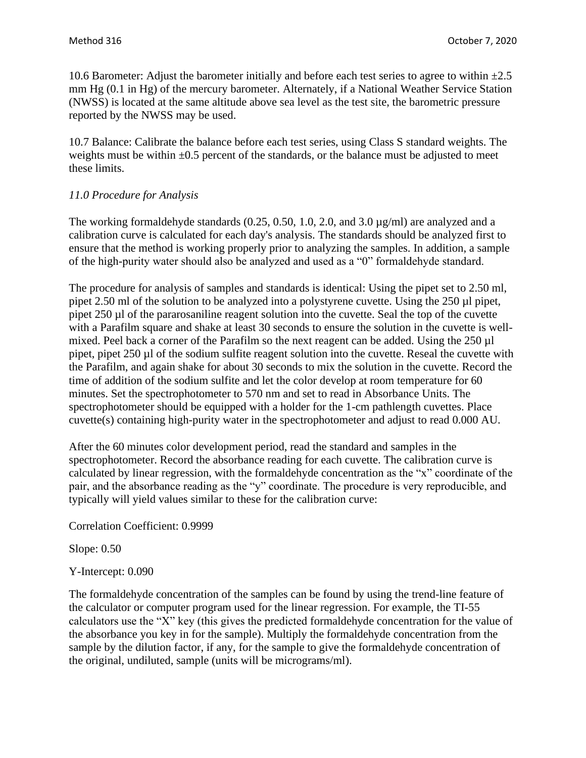10.6 Barometer: Adjust the barometer initially and before each test series to agree to within  $\pm 2.5$ mm Hg (0.1 in Hg) of the mercury barometer. Alternately, if a National Weather Service Station (NWSS) is located at the same altitude above sea level as the test site, the barometric pressure reported by the NWSS may be used.

10.7 Balance: Calibrate the balance before each test series, using Class S standard weights. The weights must be within  $\pm 0.5$  percent of the standards, or the balance must be adjusted to meet these limits.

### *11.0 Procedure for Analysis*

The working formaldehyde standards  $(0.25, 0.50, 1.0, 2.0, \text{ and } 3.0 \,\mu\text{g/ml})$  are analyzed and a calibration curve is calculated for each day's analysis. The standards should be analyzed first to ensure that the method is working properly prior to analyzing the samples. In addition, a sample of the high-purity water should also be analyzed and used as a "0" formaldehyde standard.

The procedure for analysis of samples and standards is identical: Using the pipet set to 2.50 ml, pipet 2.50 ml of the solution to be analyzed into a polystyrene cuvette. Using the 250 µl pipet, pipet 250 µl of the pararosaniline reagent solution into the cuvette. Seal the top of the cuvette with a Parafilm square and shake at least 30 seconds to ensure the solution in the cuvette is wellmixed. Peel back a corner of the Parafilm so the next reagent can be added. Using the 250 µl pipet, pipet 250 µl of the sodium sulfite reagent solution into the cuvette. Reseal the cuvette with the Parafilm, and again shake for about 30 seconds to mix the solution in the cuvette. Record the time of addition of the sodium sulfite and let the color develop at room temperature for 60 minutes. Set the spectrophotometer to 570 nm and set to read in Absorbance Units. The spectrophotometer should be equipped with a holder for the 1-cm pathlength cuvettes. Place cuvette(s) containing high-purity water in the spectrophotometer and adjust to read 0.000 AU.

After the 60 minutes color development period, read the standard and samples in the spectrophotometer. Record the absorbance reading for each cuvette. The calibration curve is calculated by linear regression, with the formaldehyde concentration as the "x" coordinate of the pair, and the absorbance reading as the "y" coordinate. The procedure is very reproducible, and typically will yield values similar to these for the calibration curve:

Correlation Coefficient: 0.9999

Slope: 0.50

Y-Intercept: 0.090

The formaldehyde concentration of the samples can be found by using the trend-line feature of the calculator or computer program used for the linear regression. For example, the TI-55 calculators use the "X" key (this gives the predicted formaldehyde concentration for the value of the absorbance you key in for the sample). Multiply the formaldehyde concentration from the sample by the dilution factor, if any, for the sample to give the formaldehyde concentration of the original, undiluted, sample (units will be micrograms/ml).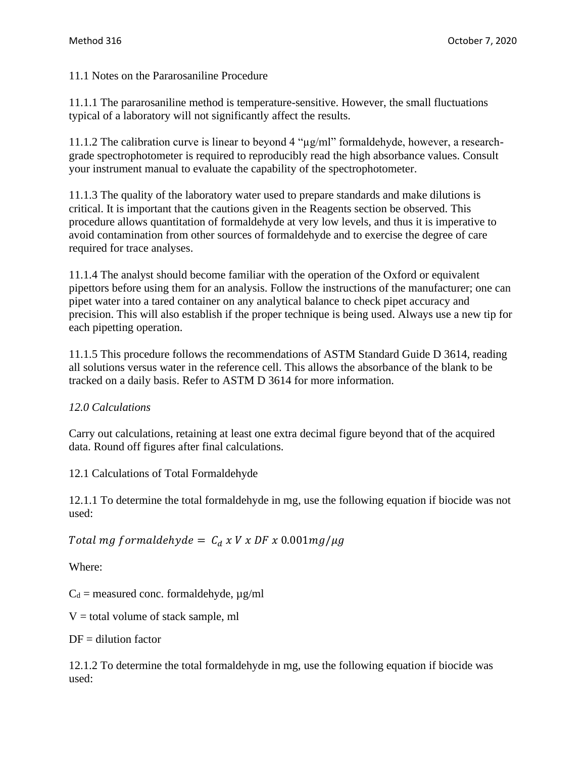11.1 Notes on the Pararosaniline Procedure

11.1.1 The pararosaniline method is temperature-sensitive. However, the small fluctuations typical of a laboratory will not significantly affect the results.

11.1.2 The calibration curve is linear to beyond 4 "µg/ml" formaldehyde, however, a researchgrade spectrophotometer is required to reproducibly read the high absorbance values. Consult your instrument manual to evaluate the capability of the spectrophotometer.

11.1.3 The quality of the laboratory water used to prepare standards and make dilutions is critical. It is important that the cautions given in the Reagents section be observed. This procedure allows quantitation of formaldehyde at very low levels, and thus it is imperative to avoid contamination from other sources of formaldehyde and to exercise the degree of care required for trace analyses.

11.1.4 The analyst should become familiar with the operation of the Oxford or equivalent pipettors before using them for an analysis. Follow the instructions of the manufacturer; one can pipet water into a tared container on any analytical balance to check pipet accuracy and precision. This will also establish if the proper technique is being used. Always use a new tip for each pipetting operation.

11.1.5 This procedure follows the recommendations of ASTM Standard Guide D 3614, reading all solutions versus water in the reference cell. This allows the absorbance of the blank to be tracked on a daily basis. Refer to ASTM D 3614 for more information.

# *12.0 Calculations*

Carry out calculations, retaining at least one extra decimal figure beyond that of the acquired data. Round off figures after final calculations.

12.1 Calculations of Total Formaldehyde

12.1.1 To determine the total formaldehyde in mg, use the following equation if biocide was not used:

Total mg formaldehyde =  $C_d x V x DF x 0.001mg/\mu g$ 

Where:

 $C_d$  = measured conc. formaldehyde,  $\mu$ g/ml

 $V =$  total volume of stack sample, ml

 $DF =$  dilution factor

12.1.2 To determine the total formaldehyde in mg, use the following equation if biocide was used: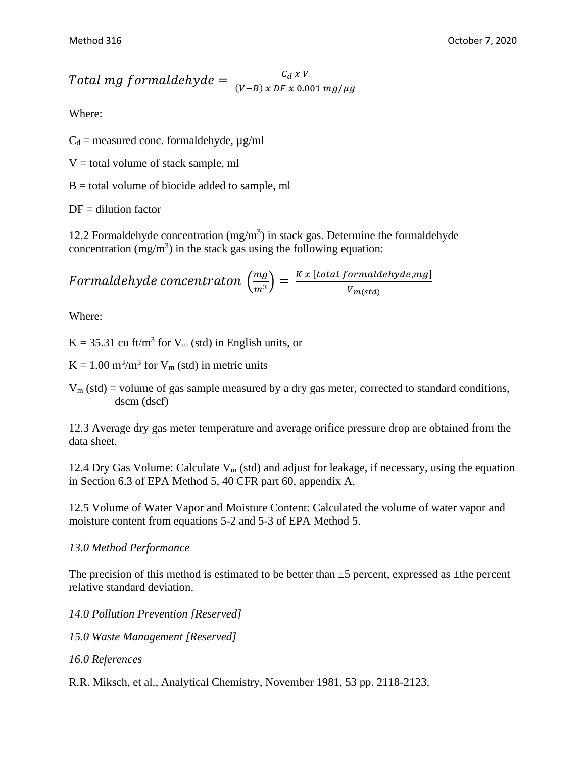# Total mg formaldehyde  $=\frac{c_d x v}{(V-R)x^2F x^2}$  $(V-B)$  x DF x 0.001 mg/ $\mu$ g

Where:

 $C_d$  = measured conc. formaldehyde,  $\mu$ g/ml

 $V =$  total volume of stack sample, ml

 $B =$  total volume of biocide added to sample, ml

 $DF =$  dilution factor

12.2 Formaldehyde concentration  $(mg/m<sup>3</sup>)$  in stack gas. Determine the formaldehyde concentration  $(mg/m<sup>3</sup>)$  in the stack gas using the following equation:

Formaldehyde concentration 
$$
\left(\frac{mg}{m^3}\right) = \frac{Kx \left[total\ formaldehyde,mg\right]}{V_{m(std)}}
$$

Where:

 $K = 35.31$  cu ft/m<sup>3</sup> for  $V_m$  (std) in English units, or

 $K = 1.00$  m<sup>3</sup>/m<sup>3</sup> for  $V_m$  (std) in metric units

 $V_m$  (std) = volume of gas sample measured by a dry gas meter, corrected to standard conditions, dscm (dscf)

12.3 Average dry gas meter temperature and average orifice pressure drop are obtained from the data sheet.

12.4 Dry Gas Volume: Calculate  $V_m$  (std) and adjust for leakage, if necessary, using the equation in Section 6.3 of EPA Method 5, 40 CFR part 60, appendix A.

12.5 Volume of Water Vapor and Moisture Content: Calculated the volume of water vapor and moisture content from equations 5-2 and 5-3 of EPA Method 5.

# *13.0 Method Performance*

The precision of this method is estimated to be better than  $\pm 5$  percent, expressed as  $\pm$ the percent relative standard deviation.

*14.0 Pollution Prevention [Reserved] 15.0 Waste Management [Reserved]*

*16.0 References*

R.R. Miksch, et al., Analytical Chemistry, November 1981, 53 pp. 2118-2123.